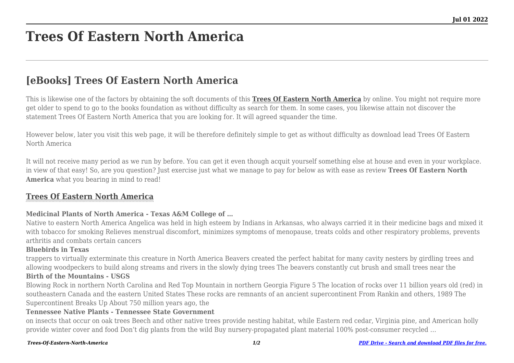# **Trees Of Eastern North America**

## **[eBooks] Trees Of Eastern North America**

This is likewise one of the factors by obtaining the soft documents of this **[Trees Of Eastern North America](http://theknottedllama.com)** by online. You might not require more get older to spend to go to the books foundation as without difficulty as search for them. In some cases, you likewise attain not discover the statement Trees Of Eastern North America that you are looking for. It will agreed squander the time.

However below, later you visit this web page, it will be therefore definitely simple to get as without difficulty as download lead Trees Of Eastern North America

It will not receive many period as we run by before. You can get it even though acquit yourself something else at house and even in your workplace. in view of that easy! So, are you question? Just exercise just what we manage to pay for below as with ease as review **Trees Of Eastern North America** what you bearing in mind to read!

### **[Trees Of Eastern North America](http://theknottedllama.com/Trees-Of-Eastern-North-America.pdf)**

### **Medicinal Plants of North America - Texas A&M College of …**

Native to eastern North America Angelica was held in high esteem by Indians in Arkansas, who always carried it in their medicine bags and mixed it with tobacco for smoking Relieves menstrual discomfort, minimizes symptoms of menopause, treats colds and other respiratory problems, prevents arthritis and combats certain cancers

### **Bluebirds in Texas**

trappers to virtually exterminate this creature in North America Beavers created the perfect habitat for many cavity nesters by girdling trees and allowing woodpeckers to build along streams and rivers in the slowly dying trees The beavers constantly cut brush and small trees near the

### **Birth of the Mountains - USGS**

Blowing Rock in northern North Carolina and Red Top Mountain in northern Georgia Figure 5 The location of rocks over 11 billion years old (red) in southeastern Canada and the eastern United States These rocks are remnants of an ancient supercontinent From Rankin and others, 1989 The Supercontinent Breaks Up About 750 million years ago, the

### **Tennessee Native Plants - Tennessee State Government**

on insects that occur on oak trees Beech and other native trees provide nesting habitat, while Eastern red cedar, Virginia pine, and American holly provide winter cover and food Don't dig plants from the wild Buy nursery-propagated plant material 100% post-consumer recycled ...